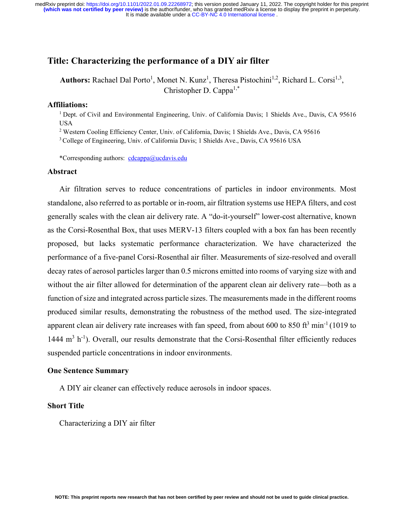# **Title: Characterizing the performance of a DIY air filter**

Authors: Rachael Dal Porto<sup>1</sup>, Monet N. Kunz<sup>1</sup>, Theresa Pistochini<sup>1,2</sup>, Richard L. Corsi<sup>1,3</sup>, Christopher D. Cappa<sup>1,\*</sup>

## **Affiliations:**

1 Dept. of Civil and Environmental Engineering, Univ. of California Davis; 1 Shields Ave., Davis, CA 95616 USA

<sup>2</sup> Western Cooling Efficiency Center, Univ. of California, Davis; 1 Shields Ave., Davis, CA 95616

3 College of Engineering, Univ. of California Davis; 1 Shields Ave., Davis, CA 95616 USA

\*Corresponding authors: cdcappa@ucdavis.edu

#### **Abstract**

Air filtration serves to reduce concentrations of particles in indoor environments. Most standalone, also referred to as portable or in-room, air filtration systems use HEPA filters, and cost generally scales with the clean air delivery rate. A "do-it-yourself" lower-cost alternative, known as the Corsi-Rosenthal Box, that uses MERV-13 filters coupled with a box fan has been recently proposed, but lacks systematic performance characterization. We have characterized the performance of a five-panel Corsi-Rosenthal air filter. Measurements of size-resolved and overall decay rates of aerosol particles larger than 0.5 microns emitted into rooms of varying size with and without the air filter allowed for determination of the apparent clean air delivery rate—both as a function of size and integrated across particle sizes. The measurements made in the different rooms produced similar results, demonstrating the robustness of the method used. The size-integrated apparent clean air delivery rate increases with fan speed, from about 600 to 850 ft<sup>3</sup> min<sup>-1</sup> (1019 to 1444 m<sup>3</sup> h<sup>-1</sup>). Overall, our results demonstrate that the Corsi-Rosenthal filter efficiently reduces suspended particle concentrations in indoor environments.

#### **One Sentence Summary**

A DIY air cleaner can effectively reduce aerosols in indoor spaces.

#### **Short Title**

Characterizing a DIY air filter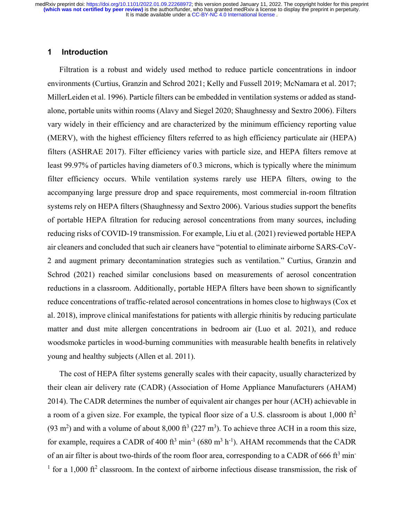# **1 Introduction**

Filtration is a robust and widely used method to reduce particle concentrations in indoor environments (Curtius, Granzin and Schrod 2021; Kelly and Fussell 2019; McNamara et al. 2017; MillerLeiden et al. 1996). Particle filters can be embedded in ventilation systems or added as standalone, portable units within rooms (Alavy and Siegel 2020; Shaughnessy and Sextro 2006). Filters vary widely in their efficiency and are characterized by the minimum efficiency reporting value (MERV), with the highest efficiency filters referred to as high efficiency particulate air (HEPA) filters (ASHRAE 2017). Filter efficiency varies with particle size, and HEPA filters remove at least 99.97% of particles having diameters of 0.3 microns, which is typically where the minimum filter efficiency occurs. While ventilation systems rarely use HEPA filters, owing to the accompanying large pressure drop and space requirements, most commercial in-room filtration systems rely on HEPA filters (Shaughnessy and Sextro 2006). Various studies support the benefits of portable HEPA filtration for reducing aerosol concentrations from many sources, including reducing risks of COVID-19 transmission. For example, Liu et al. (2021) reviewed portable HEPA air cleaners and concluded that such air cleaners have "potential to eliminate airborne SARS-CoV-2 and augment primary decontamination strategies such as ventilation." Curtius, Granzin and Schrod (2021) reached similar conclusions based on measurements of aerosol concentration reductions in a classroom. Additionally, portable HEPA filters have been shown to significantly reduce concentrations of traffic-related aerosol concentrations in homes close to highways (Cox et al. 2018), improve clinical manifestations for patients with allergic rhinitis by reducing particulate matter and dust mite allergen concentrations in bedroom air (Luo et al. 2021), and reduce woodsmoke particles in wood-burning communities with measurable health benefits in relatively young and healthy subjects (Allen et al. 2011).

The cost of HEPA filter systems generally scales with their capacity, usually characterized by their clean air delivery rate (CADR) (Association of Home Appliance Manufacturers (AHAM) 2014). The CADR determines the number of equivalent air changes per hour (ACH) achievable in a room of a given size. For example, the typical floor size of a U.S. classroom is about  $1,000 \text{ ft}^2$ (93 m<sup>2</sup>) and with a volume of about 8,000 ft<sup>3</sup> (227 m<sup>3</sup>). To achieve three ACH in a room this size, for example, requires a CADR of 400 ft<sup>3</sup> min<sup>-1</sup> (680 m<sup>3</sup> h<sup>-1</sup>). AHAM recommends that the CADR of an air filter is about two-thirds of the room floor area, corresponding to a CADR of 666 ft<sup>3</sup> min<sup>-</sup> <sup>1</sup> for a 1,000 ft<sup>2</sup> classroom. In the context of airborne infectious disease transmission, the risk of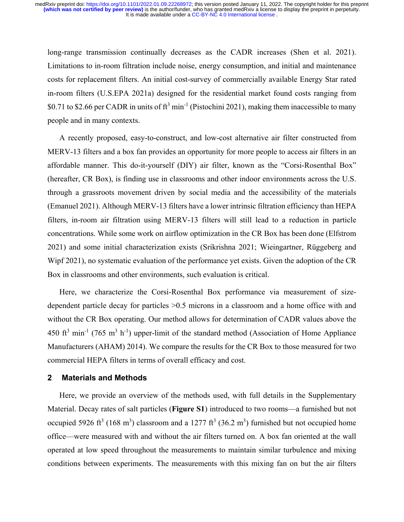long-range transmission continually decreases as the CADR increases (Shen et al. 2021). Limitations to in-room filtration include noise, energy consumption, and initial and maintenance costs for replacement filters. An initial cost-survey of commercially available Energy Star rated in-room filters (U.S.EPA 2021a) designed for the residential market found costs ranging from \$0.71 to \$2.66 per CADR in units of  $ft^3$  min<sup>-1</sup> (Pistochini 2021), making them inaccessible to many people and in many contexts.

A recently proposed, easy-to-construct, and low-cost alternative air filter constructed from MERV-13 filters and a box fan provides an opportunity for more people to access air filters in an affordable manner. This do-it-yourself (DIY) air filter, known as the "Corsi-Rosenthal Box" (hereafter, CR Box), is finding use in classrooms and other indoor environments across the U.S. through a grassroots movement driven by social media and the accessibility of the materials (Emanuel 2021). Although MERV-13 filters have a lower intrinsic filtration efficiency than HEPA filters, in-room air filtration using MERV-13 filters will still lead to a reduction in particle concentrations. While some work on airflow optimization in the CR Box has been done (Elfstrom 2021) and some initial characterization exists (Srikrishna 2021; Wieingartner, Rüggeberg and Wipf 2021), no systematic evaluation of the performance yet exists. Given the adoption of the CR Box in classrooms and other environments, such evaluation is critical.

Here, we characterize the Corsi-Rosenthal Box performance via measurement of sizedependent particle decay for particles >0.5 microns in a classroom and a home office with and without the CR Box operating. Our method allows for determination of CADR values above the 450 ft<sup>3</sup> min<sup>-1</sup> (765 m<sup>3</sup> h<sup>-1</sup>) upper-limit of the standard method (Association of Home Appliance Manufacturers (AHAM) 2014). We compare the results for the CR Box to those measured for two commercial HEPA filters in terms of overall efficacy and cost.

# **2 Materials and Methods**

Here, we provide an overview of the methods used, with full details in the Supplementary Material. Decay rates of salt particles (**Figure S1**) introduced to two rooms—a furnished but not occupied 5926 ft<sup>3</sup> (168 m<sup>3</sup>) classroom and a 1277 ft<sup>3</sup> (36.2 m<sup>3</sup>) furnished but not occupied home office—were measured with and without the air filters turned on. A box fan oriented at the wall operated at low speed throughout the measurements to maintain similar turbulence and mixing conditions between experiments. The measurements with this mixing fan on but the air filters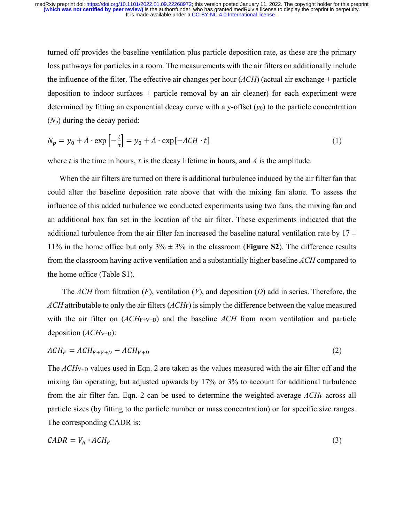turned off provides the baseline ventilation plus particle deposition rate, as these are the primary loss pathways for particles in a room. The measurements with the air filters on additionally include the influence of the filter. The effective air changes per hour (*ACH*) (actual air exchange + particle deposition to indoor surfaces + particle removal by an air cleaner) for each experiment were determined by fitting an exponential decay curve with a y-offset  $(y_0)$  to the particle concentration (*N*p) during the decay period:

$$
N_p = y_0 + A \cdot \exp\left[-\frac{t}{\tau}\right] = y_0 + A \cdot \exp[-ACH \cdot t] \tag{1}
$$

where *t* is the time in hours,  $\tau$  is the decay lifetime in hours, and *A* is the amplitude.

When the air filters are turned on there is additional turbulence induced by the air filter fan that could alter the baseline deposition rate above that with the mixing fan alone. To assess the influence of this added turbulence we conducted experiments using two fans, the mixing fan and an additional box fan set in the location of the air filter. These experiments indicated that the additional turbulence from the air filter fan increased the baseline natural ventilation rate by  $17 \pm$ 11% in the home office but only  $3\% \pm 3\%$  in the classroom (**Figure S2**). The difference results from the classroom having active ventilation and a substantially higher baseline *ACH* compared to the home office (Table S1).

The *ACH* from filtration (*F*), ventilation (*V*), and deposition (*D*) add in series. Therefore, the *ACH* attributable to only the air filters (*ACH*F) is simply the difference between the value measured with the air filter on  $(ACH<sub>F+V+D</sub>)$  and the baseline ACH from room ventilation and particle deposition (*ACH*V+D):

$$
ACH_F = ACH_{F+V+D} - ACH_{V+D} \tag{2}
$$

The *ACH*V+D values used in Eqn. 2 are taken as the values measured with the air filter off and the mixing fan operating, but adjusted upwards by 17% or 3% to account for additional turbulence from the air filter fan. Eqn. 2 can be used to determine the weighted-average *ACH*F across all particle sizes (by fitting to the particle number or mass concentration) or for specific size ranges. The corresponding CADR is:

$$
CADR = V_R \cdot ACH_F \tag{3}
$$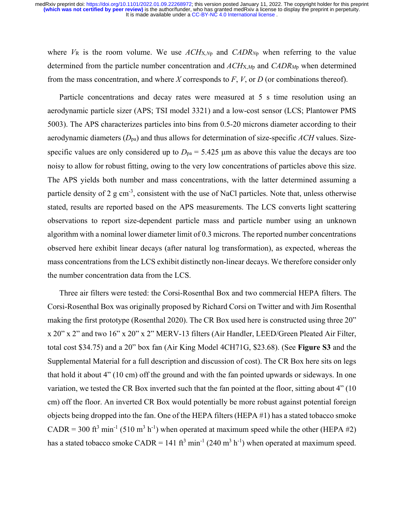where  $V_R$  is the room volume. We use  $ACH_{X,Np}$  and  $CADR_{Np}$  when referring to the value determined from the particle number concentration and *ACH*X,*M*p and *CADRM*p when determined from the mass concentration, and where *X* corresponds to *F*, *V*, or *D* (or combinations thereof).

Particle concentrations and decay rates were measured at 5 s time resolution using an aerodynamic particle sizer (APS; TSI model 3321) and a low-cost sensor (LCS; Plantower PMS 5003). The APS characterizes particles into bins from 0.5-20 microns diameter according to their aerodynamic diameters (*D*pa) and thus allows for determination of size-specific *ACH* values. Sizespecific values are only considered up to  $D_{pa} = 5.425 \mu m$  as above this value the decays are too noisy to allow for robust fitting, owing to the very low concentrations of particles above this size. The APS yields both number and mass concentrations, with the latter determined assuming a particle density of 2 g cm<sup>-3</sup>, consistent with the use of NaCl particles. Note that, unless otherwise stated, results are reported based on the APS measurements. The LCS converts light scattering observations to report size-dependent particle mass and particle number using an unknown algorithm with a nominal lower diameter limit of 0.3 microns. The reported number concentrations observed here exhibit linear decays (after natural log transformation), as expected, whereas the mass concentrations from the LCS exhibit distinctly non-linear decays. We therefore consider only the number concentration data from the LCS.

Three air filters were tested: the Corsi-Rosenthal Box and two commercial HEPA filters. The Corsi-Rosenthal Box was originally proposed by Richard Corsi on Twitter and with Jim Rosenthal making the first prototype (Rosenthal 2020). The CR Box used here is constructed using three 20" x 20" x 2" and two 16" x 20" x 2" MERV-13 filters (Air Handler, LEED/Green Pleated Air Filter, total cost \$34.75) and a 20" box fan (Air King Model 4CH71G, \$23.68). (See **Figure S3** and the Supplemental Material for a full description and discussion of cost). The CR Box here sits on legs that hold it about 4" (10 cm) off the ground and with the fan pointed upwards or sideways. In one variation, we tested the CR Box inverted such that the fan pointed at the floor, sitting about 4" (10 cm) off the floor. An inverted CR Box would potentially be more robust against potential foreign objects being dropped into the fan. One of the HEPA filters (HEPA #1) has a stated tobacco smoke CADR = 300 ft<sup>3</sup> min<sup>-1</sup> (510 m<sup>3</sup> h<sup>-1</sup>) when operated at maximum speed while the other (HEPA #2) has a stated tobacco smoke CADR = 141 ft<sup>3</sup> min<sup>-1</sup> (240 m<sup>3</sup> h<sup>-1</sup>) when operated at maximum speed.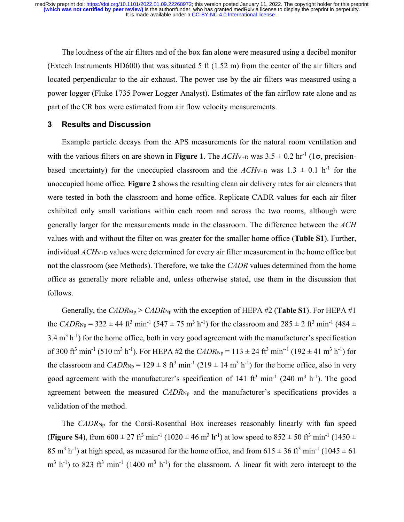The loudness of the air filters and of the box fan alone were measured using a decibel monitor (Extech Instruments HD600) that was situated 5 ft (1.52 m) from the center of the air filters and located perpendicular to the air exhaust. The power use by the air filters was measured using a power logger (Fluke 1735 Power Logger Analyst). Estimates of the fan airflow rate alone and as part of the CR box were estimated from air flow velocity measurements.

# **3 Results and Discussion**

Example particle decays from the APS measurements for the natural room ventilation and with the various filters on are shown in **Figure 1**. The  $ACH_{V+D}$  was  $3.5 \pm 0.2$  hr<sup>-1</sup> (1 $\sigma$ , precisionbased uncertainty) for the unoccupied classroom and the  $ACH_{V+D}$  was  $1.3 \pm 0.1$  h<sup>-1</sup> for the unoccupied home office. **Figure 2** shows the resulting clean air delivery rates for air cleaners that were tested in both the classroom and home office. Replicate CADR values for each air filter exhibited only small variations within each room and across the two rooms, although were generally larger for the measurements made in the classroom. The difference between the *ACH* values with and without the filter on was greater for the smaller home office (**Table S1**). Further, individual *ACH*V+D values were determined for every air filter measurement in the home office but not the classroom (see Methods). Therefore, we take the *CADR* values determined from the home office as generally more reliable and, unless otherwise stated, use them in the discussion that follows.

Generally, the *CADR*<sub>Mp</sub> > *CADR*<sub>Np</sub> with the exception of HEPA #2 (**Table S1**). For HEPA #1 the *CADR*<sub>Np</sub> = 322  $\pm$  44 ft<sup>3</sup> min<sup>-1</sup> (547  $\pm$  75 m<sup>3</sup> h<sup>-1</sup>) for the classroom and 285  $\pm$  2 ft<sup>3</sup> min<sup>-1</sup> (484  $\pm$  $3.4 \text{ m}^3 \text{ h}^{-1}$ ) for the home office, both in very good agreement with the manufacturer's specification of 300 ft<sup>3</sup> min<sup>-1</sup> (510 m<sup>3</sup> h<sup>-1</sup>). For HEPA #2 the *CADR*<sub>Np</sub> = 113 ± 24 ft<sup>3</sup> min<sup>-1</sup> (192 ± 41 m<sup>3</sup> h<sup>-1</sup>) for the classroom and  $CADR_{\text{Np}} = 129 \pm 8 \text{ ft}^3 \text{ min}^{-1} (219 \pm 14 \text{ m}^3 \text{ h}^{-1})$  for the home office, also in very good agreement with the manufacturer's specification of 141 ft<sup>3</sup> min<sup>-1</sup> (240 m<sup>3</sup> h<sup>-1</sup>). The good agreement between the measured *CADR*<sub>Np</sub> and the manufacturer's specifications provides a validation of the method.

The *CADR*<sub>Np</sub> for the Corsi-Rosenthal Box increases reasonably linearly with fan speed (**Figure S4**), from  $600 \pm 27$  ft<sup>3</sup> min<sup>-1</sup> (1020  $\pm$  46 m<sup>3</sup> h<sup>-1</sup>) at low speed to  $852 \pm 50$  ft<sup>3</sup> min<sup>-1</sup> (1450  $\pm$ 85 m<sup>3</sup> h<sup>-1</sup>) at high speed, as measured for the home office, and from  $615 \pm 36$  ft<sup>3</sup> min<sup>-1</sup> (1045  $\pm$  61)  $\text{m}^3$  h<sup>-1</sup>) to 823 ft<sup>3</sup> min<sup>-1</sup> (1400 m<sup>3</sup> h<sup>-1</sup>) for the classroom. A linear fit with zero intercept to the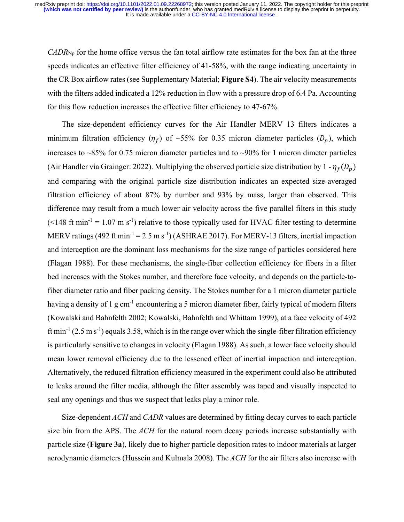*CADR*Np for the home office versus the fan total airflow rate estimates for the box fan at the three speeds indicates an effective filter efficiency of 41-58%, with the range indicating uncertainty in the CR Box airflow rates (see Supplementary Material; **Figure S4**). The air velocity measurements with the filters added indicated a 12% reduction in flow with a pressure drop of 6.4 Pa. Accounting for this flow reduction increases the effective filter efficiency to 47-67%.

The size-dependent efficiency curves for the Air Handler MERV 13 filters indicates a minimum filtration efficiency  $(\eta_f)$  of ~55% for 0.35 micron diameter particles  $(D_n)$ , which increases to ~85% for 0.75 micron diameter particles and to ~90% for 1 micron dimeter particles (Air Handler via Grainger: 2022). Multiplying the observed particle size distribution by  $1 - \eta_f(D_p)$ and comparing with the original particle size distribution indicates an expected size-averaged filtration efficiency of about 87% by number and 93% by mass, larger than observed. This difference may result from a much lower air velocity across the five parallel filters in this study  $(<148 \text{ ft min}^{-1} = 1.07 \text{ m s}^{-1})$  relative to those typically used for HVAC filter testing to determine MERV ratings (492 ft min<sup>-1</sup> = 2.5 m s<sup>-1</sup>) (ASHRAE 2017). For MERV-13 filters, inertial impaction and interception are the dominant loss mechanisms for the size range of particles considered here (Flagan 1988). For these mechanisms, the single-fiber collection efficiency for fibers in a filter bed increases with the Stokes number, and therefore face velocity, and depends on the particle-tofiber diameter ratio and fiber packing density. The Stokes number for a 1 micron diameter particle having a density of 1 g cm<sup>-1</sup> encountering a 5 micron diameter fiber, fairly typical of modern filters (Kowalski and Bahnfelth 2002; Kowalski, Bahnfelth and Whittam 1999), at a face velocity of 492 ft min<sup>-1</sup> (2.5 m s<sup>-1</sup>) equals 3.58, which is in the range over which the single-fiber filtration efficiency is particularly sensitive to changes in velocity (Flagan 1988). As such, a lower face velocity should mean lower removal efficiency due to the lessened effect of inertial impaction and interception. Alternatively, the reduced filtration efficiency measured in the experiment could also be attributed to leaks around the filter media, although the filter assembly was taped and visually inspected to seal any openings and thus we suspect that leaks play a minor role.

Size-dependent *ACH* and *CADR* values are determined by fitting decay curves to each particle size bin from the APS. The *ACH* for the natural room decay periods increase substantially with particle size (**Figure 3a**), likely due to higher particle deposition rates to indoor materials at larger aerodynamic diameters (Hussein and Kulmala 2008). The *ACH* for the air filters also increase with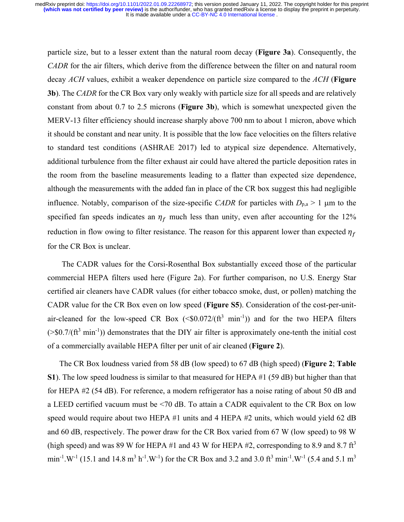particle size, but to a lesser extent than the natural room decay (**Figure 3a**). Consequently, the *CADR* for the air filters, which derive from the difference between the filter on and natural room decay *ACH* values, exhibit a weaker dependence on particle size compared to the *ACH* (**Figure 3b**). The *CADR* for the CR Box vary only weakly with particle size for all speeds and are relatively constant from about 0.7 to 2.5 microns (**Figure 3b**), which is somewhat unexpected given the MERV-13 filter efficiency should increase sharply above 700 nm to about 1 micron, above which it should be constant and near unity. It is possible that the low face velocities on the filters relative to standard test conditions (ASHRAE 2017) led to atypical size dependence. Alternatively, additional turbulence from the filter exhaust air could have altered the particle deposition rates in the room from the baseline measurements leading to a flatter than expected size dependence, although the measurements with the added fan in place of the CR box suggest this had negligible influence. Notably, comparison of the size-specific *CADR* for particles with  $D_{p,a} > 1$  µm to the specified fan speeds indicates an  $\eta_f$  much less than unity, even after accounting for the 12% reduction in flow owing to filter resistance. The reason for this apparent lower than expected  $\eta_f$ for the CR Box is unclear.

The CADR values for the Corsi-Rosenthal Box substantially exceed those of the particular commercial HEPA filters used here (Figure 2a). For further comparison, no U.S. Energy Star certified air cleaners have CADR values (for either tobacco smoke, dust, or pollen) matching the CADR value for the CR Box even on low speed (**Figure S5**). Consideration of the cost-per-unitair-cleaned for the low-speed CR Box  $(\textless 0.072/(ft^3 \text{ min}^{-1}))$  and for the two HEPA filters  $($ >\$0.7/(ft<sup>3</sup> min<sup>-1</sup>)) demonstrates that the DIY air filter is approximately one-tenth the initial cost of a commercially available HEPA filter per unit of air cleaned (**Figure 2**).

The CR Box loudness varied from 58 dB (low speed) to 67 dB (high speed) (**Figure 2**; **Table S1**). The low speed loudness is similar to that measured for HEPA #1 (59 dB) but higher than that for HEPA #2 (54 dB). For reference, a modern refrigerator has a noise rating of about 50 dB and a LEED certified vacuum must be <70 dB. To attain a CADR equivalent to the CR Box on low speed would require about two HEPA #1 units and 4 HEPA #2 units, which would yield 62 dB and 60 dB, respectively. The power draw for the CR Box varied from 67 W (low speed) to 98 W (high speed) and was 89 W for HEPA #1 and 43 W for HEPA #2, corresponding to 8.9 and 8.7  $\text{ft}^3$ min<sup>-1</sup>.W<sup>-1</sup> (15.1 and 14.8 m<sup>3</sup> h<sup>-1</sup>.W<sup>-1</sup>) for the CR Box and 3.2 and 3.0 ft<sup>3</sup> min<sup>-1</sup>.W<sup>-1</sup> (5.4 and 5.1 m<sup>3</sup>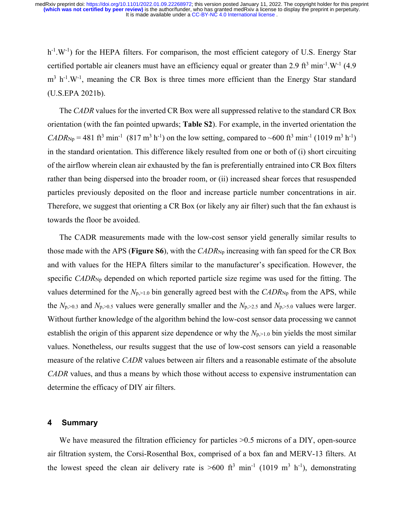$h^{-1}$ .W<sup>-1</sup>) for the HEPA filters. For comparison, the most efficient category of U.S. Energy Star certified portable air cleaners must have an efficiency equal or greater than 2.9 ft<sup>3</sup> min<sup>-1</sup>.W<sup>-1</sup> (4.9)  $m<sup>3</sup>$  h<sup>-1</sup>.W<sup>-1</sup>, meaning the CR Box is three times more efficient than the Energy Star standard (U.S.EPA 2021b).

The *CADR* values for the inverted CR Box were all suppressed relative to the standard CR Box orientation (with the fan pointed upwards; **Table S2**). For example, in the inverted orientation the  $CADR_{Np} = 481 \text{ ft}^3 \text{ min}^{-1} (817 \text{ m}^3 \text{ h}^{-1})$  on the low setting, compared to ~600 ft<sup>3</sup> min<sup>-1</sup> (1019 m<sup>3</sup> h<sup>-1</sup>) in the standard orientation. This difference likely resulted from one or both of (i) short circuiting of the airflow wherein clean air exhausted by the fan is preferentially entrained into CR Box filters rather than being dispersed into the broader room, or (ii) increased shear forces that resuspended particles previously deposited on the floor and increase particle number concentrations in air. Therefore, we suggest that orienting a CR Box (or likely any air filter) such that the fan exhaust is towards the floor be avoided.

The CADR measurements made with the low-cost sensor yield generally similar results to those made with the APS (**Figure S6**), with the *CADR*<sub>Np</sub> increasing with fan speed for the CR Box and with values for the HEPA filters similar to the manufacturer's specification. However, the specific *CADR*Np depended on which reported particle size regime was used for the fitting. The values determined for the  $N_{p,>1.0}$  bin generally agreed best with the  $CADR_{Np}$  from the APS, while the  $N_{p,>0.3}$  and  $N_{p,>0.5}$  values were generally smaller and the  $N_{p,>2.5}$  and  $N_{p,>5.0}$  values were larger. Without further knowledge of the algorithm behind the low-cost sensor data processing we cannot establish the origin of this apparent size dependence or why the  $N_{p, \geq 1.0}$  bin yields the most similar values. Nonetheless, our results suggest that the use of low-cost sensors can yield a reasonable measure of the relative *CADR* values between air filters and a reasonable estimate of the absolute *CADR* values, and thus a means by which those without access to expensive instrumentation can determine the efficacy of DIY air filters.

#### **4 Summary**

We have measured the filtration efficiency for particles  $>0.5$  microns of a DIY, open-source air filtration system, the Corsi-Rosenthal Box, comprised of a box fan and MERV-13 filters. At the lowest speed the clean air delivery rate is  $>600$  ft<sup>3</sup> min<sup>-1</sup> (1019 m<sup>3</sup> h<sup>-1</sup>), demonstrating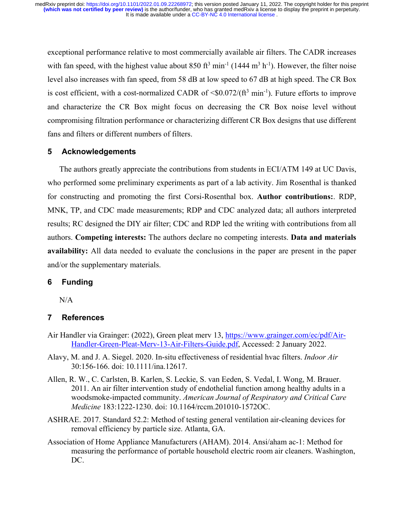exceptional performance relative to most commercially available air filters. The CADR increases with fan speed, with the highest value about  $850 \text{ ft}^3 \text{ min}^{-1}$  (1444 m<sup>3</sup> h<sup>-1</sup>). However, the filter noise level also increases with fan speed, from 58 dB at low speed to 67 dB at high speed. The CR Box is cost efficient, with a cost-normalized CADR of  $\langle 0.072/(ft^3 \text{ min}^{-1})$ . Future efforts to improve and characterize the CR Box might focus on decreasing the CR Box noise level without compromising filtration performance or characterizing different CR Box designs that use different fans and filters or different numbers of filters.

# **5 Acknowledgements**

The authors greatly appreciate the contributions from students in ECI/ATM 149 at UC Davis, who performed some preliminary experiments as part of a lab activity. Jim Rosenthal is thanked for constructing and promoting the first Corsi-Rosenthal box. **Author contributions:**. RDP, MNK, TP, and CDC made measurements; RDP and CDC analyzed data; all authors interpreted results; RC designed the DIY air filter; CDC and RDP led the writing with contributions from all authors. **Competing interests:** The authors declare no competing interests. **Data and materials availability:** All data needed to evaluate the conclusions in the paper are present in the paper and/or the supplementary materials.

#### **6 Funding**

N/A

#### **7 References**

- Air Handler via Grainger: (2022), Green pleat merv 13, https://www.grainger.com/ec/pdf/Air-Handler-Green-Pleat-Merv-13-Air-Filters-Guide.pdf, Accessed: 2 January 2022.
- Alavy, M. and J. A. Siegel. 2020. In-situ effectiveness of residential hvac filters. *Indoor Air* 30:156-166. doi: 10.1111/ina.12617.
- Allen, R. W., C. Carlsten, B. Karlen, S. Leckie, S. van Eeden, S. Vedal, I. Wong, M. Brauer. 2011. An air filter intervention study of endothelial function among healthy adults in a woodsmoke-impacted community. *American Journal of Respiratory and Critical Care Medicine* 183:1222-1230. doi: 10.1164/rccm.201010-1572OC.
- ASHRAE. 2017. Standard 52.2: Method of testing general ventilation air-cleaning devices for removal efficiency by particle size. Atlanta, GA.
- Association of Home Appliance Manufacturers (AHAM). 2014. Ansi/aham ac-1: Method for measuring the performance of portable household electric room air cleaners. Washington, DC.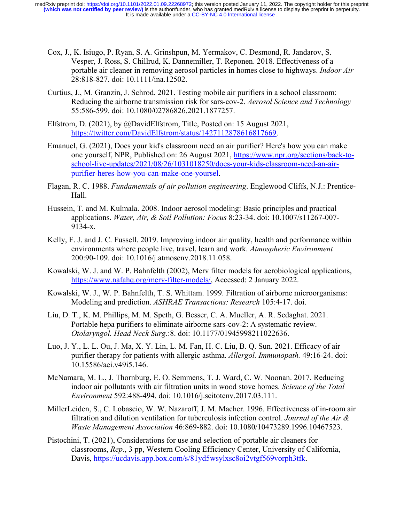- Cox, J., K. Isiugo, P. Ryan, S. A. Grinshpun, M. Yermakov, C. Desmond, R. Jandarov, S. Vesper, J. Ross, S. Chillrud, K. Dannemiller, T. Reponen. 2018. Effectiveness of a portable air cleaner in removing aerosol particles in homes close to highways. *Indoor Air* 28:818-827. doi: 10.1111/ina.12502.
- Curtius, J., M. Granzin, J. Schrod. 2021. Testing mobile air purifiers in a school classroom: Reducing the airborne transmission risk for sars-cov-2. *Aerosol Science and Technology* 55:586-599. doi: 10.1080/02786826.2021.1877257.
- Elfstrom, D. (2021), by @DavidElfstrom, Title, Posted on: 15 August 2021, https://twitter.com/DavidElfstrom/status/1427112878616817669.
- Emanuel, G. (2021), Does your kid's classroom need an air purifier? Here's how you can make one yourself, NPR, Published on: 26 August 2021, https://www.npr.org/sections/back-toschool-live-updates/2021/08/26/1031018250/does-your-kids-classroom-need-an-airpurifier-heres-how-you-can-make-one-yoursel.
- Flagan, R. C. 1988. *Fundamentals of air pollution engineering*. Englewood Cliffs, N.J.: Prentice-Hall.
- Hussein, T. and M. Kulmala. 2008. Indoor aerosol modeling: Basic principles and practical applications. *Water, Air, & Soil Pollution: Focus* 8:23-34. doi: 10.1007/s11267-007- 9134-x.
- Kelly, F. J. and J. C. Fussell. 2019. Improving indoor air quality, health and performance within environments where people live, travel, learn and work. *Atmospheric Environment* 200:90-109. doi: 10.1016/j.atmosenv.2018.11.058.
- Kowalski, W. J. and W. P. Bahnfelth (2002), Merv filter models for aerobiological applications, https://www.nafahq.org/merv-filter-models/, Accessed: 2 January 2022.
- Kowalski, W. J., W. P. Bahnfelth, T. S. Whittam. 1999. Filtration of airborne microorganisms: Modeling and prediction. *ASHRAE Transactions: Research* 105:4-17. doi.
- Liu, D. T., K. M. Phillips, M. M. Speth, G. Besser, C. A. Mueller, A. R. Sedaghat. 2021. Portable hepa purifiers to eliminate airborne sars-cov-2: A systematic review. *Otolaryngol. Head Neck Surg.*:8. doi: 10.1177/01945998211022636.
- Luo, J. Y., L. L. Ou, J. Ma, X. Y. Lin, L. M. Fan, H. C. Liu, B. Q. Sun. 2021. Efficacy of air purifier therapy for patients with allergic asthma. *Allergol. Immunopath.* 49:16-24. doi: 10.15586/aei.v49i5.146.
- McNamara, M. L., J. Thornburg, E. O. Semmens, T. J. Ward, C. W. Noonan. 2017. Reducing indoor air pollutants with air filtration units in wood stove homes. *Science of the Total Environment* 592:488-494. doi: 10.1016/j.scitotenv.2017.03.111.
- MillerLeiden, S., C. Lobascio, W. W. Nazaroff, J. M. Macher. 1996. Effectiveness of in-room air filtration and dilution ventilation for tuberculosis infection control. *Journal of the Air & Waste Management Association* 46:869-882. doi: 10.1080/10473289.1996.10467523.
- Pistochini, T. (2021), Considerations for use and selection of portable air cleaners for classrooms, *Rep.*, 3 pp, Western Cooling Efficiency Center, University of California, Davis, https://ucdavis.app.box.com/s/81yd5wsylxsc8oi2vtgf569vorph3tfk.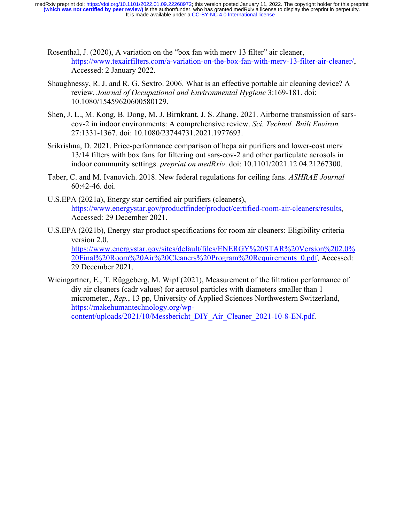- Rosenthal, J. (2020), A variation on the "box fan with merv 13 filter" air cleaner, https://www.texairfilters.com/a-variation-on-the-box-fan-with-merv-13-filter-air-cleaner/, Accessed: 2 January 2022.
- Shaughnessy, R. J. and R. G. Sextro. 2006. What is an effective portable air cleaning device? A review. *Journal of Occupational and Environmental Hygiene* 3:169-181. doi: 10.1080/15459620600580129.
- Shen, J. L., M. Kong, B. Dong, M. J. Birnkrant, J. S. Zhang. 2021. Airborne transmission of sarscov-2 in indoor environments: A comprehensive review. *Sci. Technol. Built Environ.* 27:1331-1367. doi: 10.1080/23744731.2021.1977693.
- Srikrishna, D. 2021. Price-performance comparison of hepa air purifiers and lower-cost merv 13/14 filters with box fans for filtering out sars-cov-2 and other particulate aerosols in indoor community settings. *preprint on medRxiv*. doi: 10.1101/2021.12.04.21267300.
- Taber, C. and M. Ivanovich. 2018. New federal regulations for ceiling fans. *ASHRAE Journal* 60:42-46. doi.
- U.S.EPA (2021a), Energy star certified air purifiers (cleaners), https://www.energystar.gov/productfinder/product/certified-room-air-cleaners/results, Accessed: 29 December 2021.
- U.S.EPA (2021b), Energy star product specifications for room air cleaners: Eligibility criteria version 2.0, https://www.energystar.gov/sites/default/files/ENERGY%20STAR%20Version%202.0% 20Final%20Room%20Air%20Cleaners%20Program%20Requirements\_0.pdf, Accessed: 29 December 2021.
- Wieingartner, E., T. Rüggeberg, M. Wipf (2021), Measurement of the filtration performance of diy air cleaners (cadr values) for aerosol particles with diameters smaller than 1 micrometer., *Rep.*, 13 pp, University of Applied Sciences Northwestern Switzerland, https://makehumantechnology.org/wpcontent/uploads/2021/10/Messbericht\_DIY\_Air\_Cleaner\_2021-10-8-EN.pdf.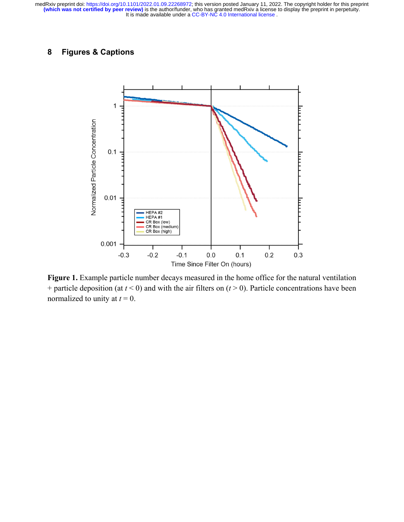# **8 Figures & Captions**



Figure 1. Example particle number decays measured in the home office for the natural ventilation + particle deposition (at  $t < 0$ ) and with the air filters on  $(t > 0)$ . Particle concentrations have been normalized to unity at  $t = 0$ .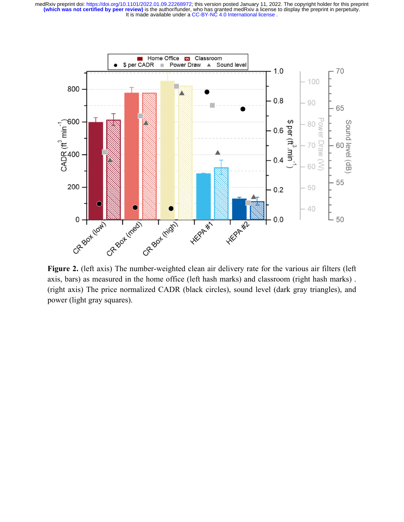It is made available under a CC-BY-NC 4.0 International license. **(which was not certified by peer review)** is the author/funder, who has granted medRxiv a license to display the preprint in perpetuity. medRxiv preprint doi: [https://doi.org/10.1101/2022.01.09.22268972;](https://doi.org/10.1101/2022.01.09.22268972) this version posted January 11, 2022. The copyright holder for this preprint



Figure 2. (left axis) The number-weighted clean air delivery rate for the various air filters (left axis, bars) as measured in the home office (left hash marks) and classroom (right hash marks) . (right axis) The price normalized CADR (black circles), sound level (dark gray triangles), and power (light gray squares).